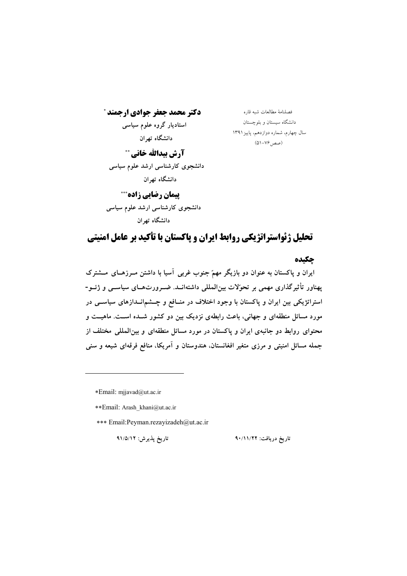دکتر محمد جعفر جوادی ارجمند \* استادیار گروه علوم سیاسی دانشگاه تهران آرش بيدالله خاني \*\*

دانشجوی کارشناسی ارشد علوم سیاسی دانشگاه تهران

**پیمان رضایی زاده\*\*\*** دانشجوی کارشناسی ارشد علوم سیاسی دانشگاه تهران

فصلنامهٔ مطالعات شبه قاره دانشگاه سیستان و بلوچستان سال چهارم، شماره دوازدهم، پاییز ۱۳۹۱ (صص1-٧۶–۵۱)

# تحلیل ژئواستراتژیکی روابط ایران و پاکستان با تأکید بر عامل امنیتی

#### حكىده

ایران و پاکستان به عنوان دو بازیگر مهمّ جنوب غربی آسیا با داشتن مـرزهـای مــشترک پهناور تأثیرگذاری مهمی بر تحوّلات بین|لمللی داشته|نــد. ضــرورتهــای سیاســی و ژئــو-استراتژیکی بین ایران و پاکستان با وجود اختلاف در منــافع و چــشم|نــدازهای سیاســی در مورد مسائل منطقهای و جهانی، باعث رابطهی نزدیک بین دو کشور شــده اســت. ماهیــت و محتوای روابط دو جانبهی ایران و پاکستان در مورد مسائل منطقهای و بین المللی مختلف از جمله مسائل امنیتی و مرزی متغیر افغانستان، هندوستان و آمریکا، منافع فرقهای شیعه و سنی

\*Email: mjjavad@ut.ac.ir

\*\*Email: Arash khani@ut.ac.ir

\*\*\* Email: Peyman.rezayizadeh@ut.ac.ir

تاريخ يذيرش: ٩١/٥/١٢

تاريخ دريافت: ٩٠/١١/٢٢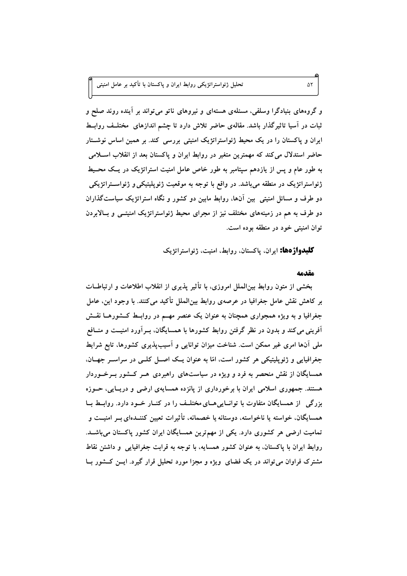و گروههای بنیادگرا وسلفی، مسئلهی هستهای و نیروهای ناتو می تواند بر آینده روند صلح و ثبات در اسیا تاثیرگذار باشد. مقالهی حاضر تلاش دارد تا چشم اندازهای ًمختلـف روابــط ایران و پاکستان را در یک محیط ژئواستراتژیک امنیتی بررسی کند. بر همین اساس نوشـتار حاضر استدلال می کند که مهمترین متغیر در روابط ایران و پاکستان بعد از انقلاب اسـلامی به طور عام و پس از پازدهم سیتامبر به طور خاص عامل امنیت استراتژیک در یـک محــیط ژئواستراتژیک در منطقه میباشد. در واقع با توجه به موقعیت ژئوپلیتیکی و ژئواسـتراتژیکی دو طرف و مسائل امنیتی بین آنها، روابط مابین دو کشور و نگاه استراتژیک سیاستگذاران دو طرف به هم در زمینههای مختلف نیز از مجرای محیط ژئواستراتژیک امنیتـــی و بــالابردن توان امنيتي خود در منطقه بوده است.

**کلیدواژ دها:** ایران، پاکستان، روابط، امنیت، ژئواستراتژیک

#### مقدمه

بخشی از متون روابط بین|لملل امروزی، با تأثیر پذیری از انقلاب اطلاعات و ارتباطــات بر کاهش نقش عامل جغرافیا در عرصهی روابط بین|لملل تأکید میکنند. با وجود این، عامل جغرافیا و به ویژه همجواری همچنان به عنوان یک عنصر مهــم در روابــط کــشورهــا نقــش آفرینی می کند و بدون در نظر گرفتن روابط کشورها با همسایگان، بــرآورد امنیــت و منــافع ملی آنها امری غیر ممکن است. شناخت میزان توانایی و آسیب پذیری کشورها، تابع شرایط جغرافیایی و ژئوپلیتیکی هر کشور است، امّا به عنوان یک اصل کلبی در سراسـر جهـان. همسایگان از نقش منحصر به فرد و ویژه در سیاستهای راهبردی هــر کــشور بــرخــوردار هستند. جمهوری اسلامی ایران با برخورداری از پانزده همسایهی ارضی و دریـایی، حــوزه بزرگی از همسایگان متفاوت با توانـاییهـای مختلـف را در کنـار خـود دارد. روابـط بـا همسایگان، خواسته یا ناخواسته، دوستانه یا خصمانه، تأثیرات تعیین کننــدهای بــر امنیــت و تمامیت ارضی هر کشوری دارد. یکی از مهمترین همسایگان ایران کشور پاکستان میباشـد. روابط ایران با پاکستان، به عنوان کشور همسایه، با توجه به قرابت جغرافیایی و داشتن نقاط مشترک فراوان می تواند در یک فضای ً ویژه و مجزا مورد تحلیل قرار گیرد. ایــن کــشور بــا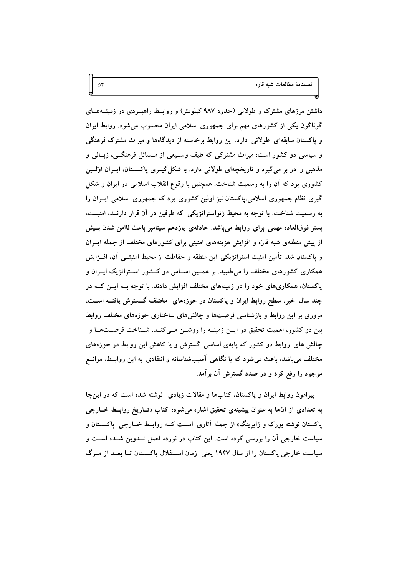داشتن مرزهای مشترک و طولانی (حدود ۹۸۷ کیلومتر) و روابـط راهبــردی در زمینــههــای گوناگون یکی از کشورهای مهم برای جمهوری اسلامی ایران محسوب میشود. روابط ایران و پاکستان سابقهای طولانی دارد. این روابط برخاسته از دیدگاهها و میراث مشترک فرهنگی و سیاسی دو کشور است؛ میراث مشترکی که طیف وسـیعی از مــسائل فرهنگــی، زبــانی و مذهبی را در بر میگیرد و تاریخچهای طولانی دارد. با شکل گیــری پاکــستان، ایــران اوّلــین کشوری بود که آن را به رسمیت شناخت. همچنین با وقوع انقلاب اسلامی در ایران و شکل گیری نظام جمهوری اسلامی،پاکستان نیز اولین کشوری بود که جمهوری اسلامی ایــران را به رسمیت شناخت. با توجه به محیط ژئواستراتژیکی که طرفین در آن قرار دارنـد، امنیــت، بستر فوقالعاده مهمی برای روابط میباشد. حادثهی یازدهم سپتامبر باعث ناامن شدن بـیش از پیش منطقهی شبه قارّه و افزایش هزینههای امنیتی برای کشورهای مختلف از جمله ایــران و پاکستان شد. تأمین امنیت استراتژیکی این منطقه و حفاظت از محیط امنیتــی آن، افــزایش همکاری کشورهای مختلف را میطلبید. بر همــین اســاس دو کــشور اســتراتژیک ایــران و پاکستان، همکاریهای خود را در زمینههای مختلف افزایش دادند. با توجه بــه ایــن کــه در چند سال اخیر، سطح روابط ایران و پاکستان در حوزههای ًمختلف گــسترش یافتــه اســت، مروری بر این روابط و بازشناسی فرصتها و چالشهای ساختاری حوزههای مختلف روابط بین دو کشور، اهمیت تحقیق در ایــن زمینــه را روشــن مــیکنــد. شــناخت فرصــتهــا و چالش های روابط دو کشور که پایهی اساسی گسترش و یا کاهش این روابط در حوزههای مختلف می باشد. باعث می شود که با نگاهی آسیبشناسانه و انتقادی به این روابــط. موانــع موجود را رفع کرد و در صدد گسترش آن برآمد.

 $\Delta \mathsf{r}$ 

پیرامون روابط ایران و پاکستان، کتابها و مقالات زیادی ۖ نوشته شده است که در این جا به تعدادی از آنها به عنوان پیشینهی تحقیق اشاره میشود؛ کتاب «تــاریخ روابــط خــارجی پاکستان نوشته بورک و زایرینگ» از جمله آثاری اسـت کــه روابــط خــارجی پاکــستان و سیاست خارجی آن را بررسی کرده است. این کتاب در نوزده فصل تــدوین شــده اســت و سیاست خارجی پاکستان را از سال ۱۹۴۷ یعنی ِ زمان اسـتقلال پاکـستان تــا بعــد از مــرگ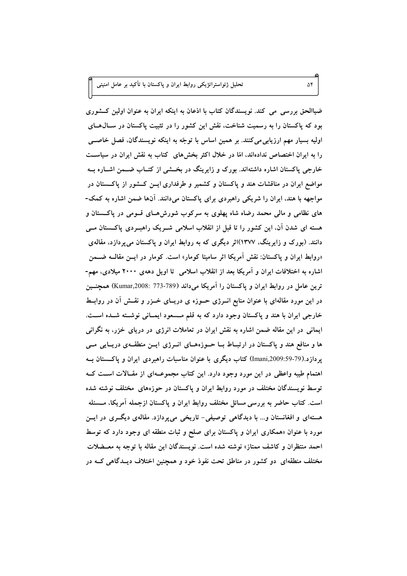ضیاالحق بررسی می کند. نویسندگان کتاب با اذعان به اینکه ایران به عنوان اولین کــشوری بود که پاکستان را به رسمیت شناخت، نقش این کشور را در تثبیت پاکستان در سـال۵حـای اولیه بسیار مهم ارزیابی میکنند. بر همین اساس با توجّه به اینکه نویسندگان، فصل خاصــی را به ایران اختصاص ندادهاند، امّا در خلال اکثر بخشهای کتاب به نقش ایران در سیاست خارجی پاکستان اشاره داشتهاند. بورک و زایرینگ در بخــشی از کتــاب ضــمن اشــاره بــه مواضع ایران در مناقشات هند و پاکستان و کشمیر و طرفداری ایــن کــشور از پاکــستان در مواجهه با هند، ایران را شریکی راهبردی برای پاکستان میدانند. آنها ضمن اشاره به کمک-های نظامی و مالی محمد رضاه شاه پهلوی به سرکوب شورشهــای قــومی در پاکــستان و هسته ای شدن آن، این کشور را تا قبل از انقلاب اسلامی شــریک راهبــردی پاکــستان مــی دانند. (بورک و زایرینگ، ۱۳۷۷)اثر دیگری که به روابط ایران و پاکستان میپردازد، مقالهی «روابط ایران و پاکستان: نقش اَمریکا اثر سامیتا کومار» است. کومار در ایــن مقالــه ضــمن اشاره به اختلافات ایران و آمریکا بعد از انقلاب اسلامی تا اویل دههی ۲۰۰۰ میلادی، مهم-ترین عامل در روابط ایران و پاکستان را آمریکا میداند (T73-773-773008) همچنــین در این مورد مقالهای با عنوان منابع انــرژی حــوزه ی دریــای خــزر و نقــش آن در روابــط خارجی ایران با هند و پاکستان وجود دارد که به قلم مــسعود ایمــانی نوشــته شــده اســت. ایمانی در این مقاله ضمن اشاره به نقش ایران در تعاملات انرژی در دریای خزر، به نگرانی ها و منافع هند و پاکستان در ارتبــاط بــا حــوزههــای انـــرژی ايـــن منطقــهی دريــايی مـــی پردازد.(79-59:909:1mani) کتاب دیگری با عنوان مناسبات راهبردی ایران و پاکستان بــه اهتمام طیبه واعظی در این مورد وجود دارد. این کتاب مجموعــهای از مقــالات اســت کــه توسط نویسندگان مختلف در مورد روابط ایران و پاکستان در حوزههای مختلف نوشته شده است. کتاب حاضر به بررسی مسائل مختلف روابط ایران و پاکستان ازجمله آمریکا، مــسئله هستهای و افغانستان و… با دیدگاهی توصیفی- تاریخی میپردازد. مقالهی دیگــری در ایــن مورد با عنوان «همکاری ایران و پاکستان برای صلح و ثبات منطقه ای وجود دارد که توسط احمد منتظران و کاشف ممتاز» نوشته شده است. نویسندگان این مقاله با توجه به معــضلات مختلف منطقهای دو کشور در مناطق تحت نفوذ خود و همچنین اختلاف دیــدگاهی کــه در

۵۴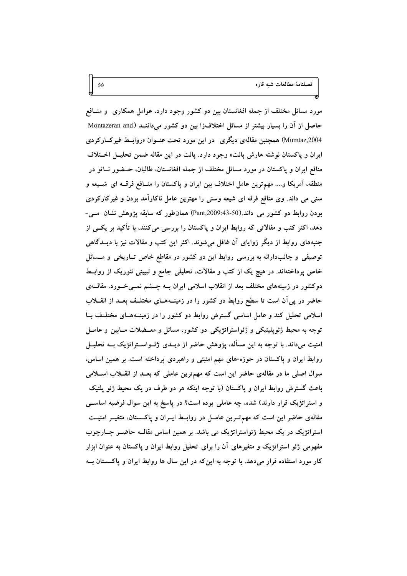مورد مسائل مختلف از جمله افغانستان بین دو کشور وجود دارد، عوامل همکاری ً و منــافع حاصل از آن را بسیار بیشتر از مسائل اختلاف(ا بین دو کشور میداننــد (Montazeran and Mumtaz,2004) همچنین مقالهی دیگری ً در این مورد تحت عنــوان «روابــط غیرکــارکردی ایران و پاکستان نوشته هارش پانت» وجود دارد. پانت در این مقاله ضمن تحلیــل اخــتلاف منافع ايران و پاکستان در مورد مسائل مختلف از جمله افغانستان، طالبان، حــضور نــاتو در منطقه، آمریکا و…. مهمترین عامل اختلاف بین ایران و پاکستان را منــافع فرقــه ای شــیعه و سنی می داند. وی منافع فرقه ای شیعه وسنی را مهترین عامل ناکارآمد بودن و غیرکارکردی بودن روابط دو کشور می داند.(Pant,2009:43-50) همان طور که سابقه پژوهش نشان مبی-دهد، اکثر کتب و مقالاتی که روابط ایران و پاکستان را بررسی میکنند، با تأکید بر یکــی از جنبههای روابط از دیگر زوایای آن غافل میشوند. اکثر این کتب و مقالات نیز با دیــدگاهی توصیفی و جانبدارانه به بررسی روابط این دو کشور در مقاطع خاص تــاریخی و مـــسائل خاص پرداختهاند. در هیچ یک از کتب و مقالات، تحلیلی جامع و تبیینی تئوریک از روابــط دوکشور در زمینههای مختلف بعد از انقلاب اسلامی ایران بــه چـــشم نمـــیخـــورد. مقالـــهی حاضر در پی اَن است تا سطح روابط دو کشور را در زمینــهـمــای مختلــف بعــد از انقـــلاب اسلامی تحلیل کند و عامل اساسی گسترش روابط دو کشور را در زمینـههـای مختلـف بـا توجه به محیط ژئوپلیتیکی و ژئواستراتژیکی دو کشور، مسائل و معــضلات مــابین و عامــل امنیت میداند. با توجه به این مسأله، پژوهش حاضر از دیــدی ژئــواســتراتژیک بــه تحلیــل روابط ایران و پاکستان در حوزه-های مهم امنیتی و راهبردی پرداخته است. بر همین اساس، سوال اصلی ما در مقالهی حاضر این است که مهمترین عاملی که بعـد از انقــلاب اســلامی باعث گسترش روابط ایران و پاکستان (با توجه اینکه هر دو طرف در یک محیط ژئو پلتیک و استراتژیک قرار دارند) شده، چه عاملی بوده است؟ در پاسخ به این سوال فرضیه اساســی مقالهی حاضر این است که مهم تــرین عامــل در روابــط ایــران و پاکـــستان، متغیــر امنیــت استراتژیک در یک محیط ژئواستراتژیک می باشد. بر همین اساس مقالــه حاضــر چــارچوب مفهومی ژئو استراتژیک و متغیرهای آن را برای تحلیل روابط ایران و پاکستان به عنوان ابزار کار مورد استفاده قرار میدهد. با توجه به این که در این سال ها روابط ایران و پاکستان بــه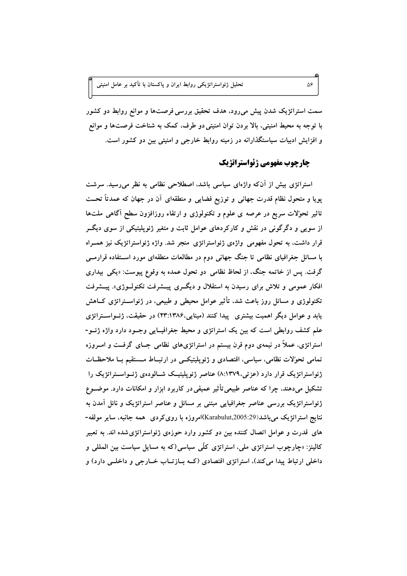سمت استراتژیک شدن پیش میرود، هدف تحقیق بررسی فرصتها و موانع روابط دو کشور با توجه به محيط امنيتي، بالا بردن توان امنيتي دو طرف، كمك به شناخت فرصتها و موانع و افزایش ادبیات سیاستگذارانه در زمینه روابط خارجی و امنیتی بین دو کشور است.

#### جارجوب مفهومي ژئواستراتژيك

۵۶

استراتژی بیش از آنکه واژهای سیاسی باشد، اصطلاحی نظامی به نظر میرسید. سرشت پویا و متحول نظام قدرت جهانی و توزیع فضایی و منطقهای آن در جهان که عمدتاً تحــت تاثیر تحوّلات سریع در عرصه ی علوم و تکنولوژی و ارتقاء روزافزون سطح آگاهی ملتها از سویی و دگرگونی در نقش و کارکردهای عوامل ثابت و متغیر ژئوپلیتیکی از سوی دیگــر قرار داشت، به تحول مفهومی واژهی ژئواستراتژی منجر شد. واژه ژئواستراتژیک نیز همـراه با مسائل جغرافیای نظامی تا جنگ جهانی دوم در مطالعات منطقهای مورد استفاده قرارمــی گرفت. پس از خاتمه جنگ، از لحاظ نظامی دو تحول عمده به وقوع پیوست: «یکی بیداری افکار عمومی و تلاش برای رسیدن به استقلال و دیگری پیـشرفت تکنولـوژی». پیـشرفت تکنولوژی و مسائل روز باعث شد، تأثیر عوامل محیطی و طبیعی، در ژئواسـتراتژی کــاهش یابد و عوامل دیگر اهمیت بیشتری پیدا کنند (مینایی،۱۳۸۶)۲۳) در حقیقت، ژئــواســتراتژی علم کشف روابطی است که بین یک استراتژی و محیط جغرافیـایی وجـود دارد واژه ژئــو-استراتژی، عملاً در نیمهی دوم قرن بیستم در استراتژیهای نظامی جــای گرفــت و امــروزه تمامی تحوّلات نظامی، سیاسی، اقتصادی و ژئوپلیتیکسی در ارتبـاط مـستقیم بـا ملاحظـات ژئواستراتژیک قرار دارد (عزتی،۱۳۷۹٪) عناصر ژئوپلیتیــک شــالودهی ژئــواســتراتژیک را تشکیل میدهند، چرا که عناصر طبیعی تأثیر عمیقی در کاربرد ابزار و امکانات دارد. موضـوع ژئواستراتژیک بررسی عناصر جغرافیایی مبتنی بر مسائل و عناصر استراتژیک و نائل آمدن به نتايج استراتژيک ميµشد(Karabulut,2005:29)امروزه با رويکردي ٍ همه جانبه، ساير مولفه-های قدرت و عوامل اتصال کننده بین دو کشور وارد حوزهی ژئواستراتژی شده اند. به تعبیر کالینز: «چارچوب استراتژی ملی، استراتژی کلّی سیاسی(که به مسایل سیاست بین المللی و داخلي ارتباط پيدا مي كند)، استراتژي اقتصادي (كــه بــازتــاب خــارجي و داخلــي دارد) و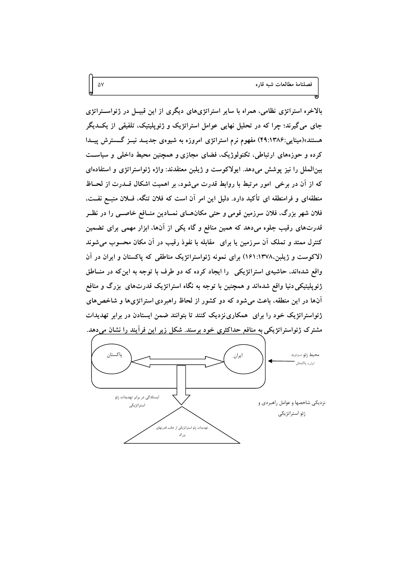فصلنامهٔ مطالعات شبه قاره

بالاخره استراتژی نظامی، همراه با سایر استراتژیهای دیگری از این قبیــل در ژئواســتراتژی جای میگیرند؛ چرا که در تحلیل نهایی عوامل استراتژیک و ژئوپلیتیک، تلفیقی از یکــدیگر هستند»(مینایی:۴۹:۱۳۸۶) مفهوم نرم استراتژی امروزه به شیوهی جدیــد نیــز گـــسترش پیــدا کرده و حوزههای ارتباطی، تکنولوژیک، فضای مجازی و همچنین محیط داخلی و سیاست بین الملل را نیز پوشش میدهد. ایولاکوست و ژیلبن معتقدند: واژه ژئواستراتژی و استفادهای که از آن در برخی ِ امور مرتبط با روابط قدرت می شود، بر اهمیت اشکال قسدرت از لحــاظ منطقهای و فرامنطقه ای تأکید دارد. دلیل این امر آن است که فلان تنگه، فــلان منبــع نفــت، فلان شهر بزرگ، فلان سرزمین قومی و حتی مکان هـای نمــادین منــافع خاصــی را در نظــر قدرتهای رقیب جلوه میدهد که همین منافع و گاه یکی از آنها، ابزار مهمی برای تضمین کنترل ممتد و تملک آن سرزمین یا برای ً مقابله با نفوذ رقیب در آن مکان محسوب می شوند (لاکوست و ژیلبن،۱۳۷۸:۱۶۱) برای نمونه ژئواستراتژیک مناطقی که پاکستان و ایران در آن واقع شدهاند، حاشیهی استراتژیکی را ایجاد کرده که دو طرف با توجه به این که در منـاطق ژئوپلیتیکی دنیا واقع شدهاند و همچنین با توجه به نگاه استراتژیک قدرتهای بزرگ و منافع آنها در این منطقه، باعث میشود که دو کشور از لحاظ راهبردی استراتژیها و شاخصهای ژئواستراتژیک خود را برای همکاری نزدیک کنند تا بتوانند ضمن ایستادن در برابر تهدیدات مشترک ژئواستراتژیکی به منافع حداکثری خود برسند. شکل زیر این فرآیند را نشان می دهد.

۵۷

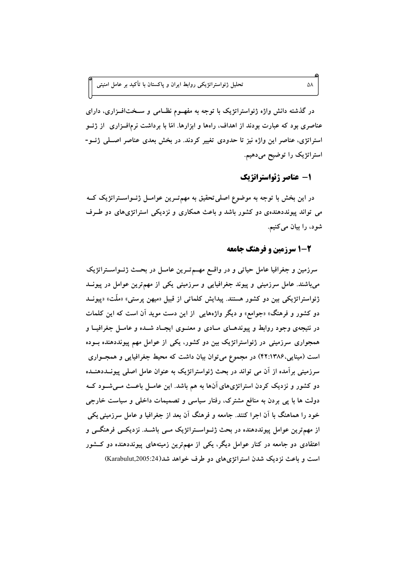در گذشته دانش واژه ژئواستراتژیک با توجه به مفهــوم نظــامی و ســختافــزاری، دارای عناصری بود که عبارت بودند از اهداف، راهها و ابزارها. امّا با برداشت نرمافــزاری ًاز ژئــو استراتژی، عناصر این واژه نیز تا حدودی تغییر کردند. در بخش بعدی عناصر اصـلی ژئــو-استراتژیک را توضیح میدهیم.

## 1- عناصر ژئواستراتژیک

در این بخش با توجه به موضوع اصلی تحقیق به مهم تـرین عوامــل ژئــواســتراتژیک کــه می تواند پیونددهندهی دو کشور باشد و باعث همکاری و نزدیکی استراتژیهای دو طـرف شود، را بیان میکنیم.

#### 2-1 سرزمین و فرهنگ جامعه

سرزمین و جغرافیا عامل حیاتی و در واقسع مهسم تسرین عامسل در بحــث ژئــواســتراتژیک میباشند. عامل سرزمینی و پیوند جغرافیایی و سرزمینی یکی از مهمترین عوامل در پیونــد ژئواستراتژیکی بین دو کشور هستند. پیدایش کلماتی از قبیل «میهن پرستی» «ملّت» «پیونــد دو کشور و فرهنگ» «جوامع» و دیگر واژههایی از این دست موید آن است که این کلمات در نتیجهی وجود روابط و پیوندهـای مـادی و معنــوی ایجــاد شــده و عامــل جغرافیــا و همجواری سرزمینی در ژئواستراتژیک بین دو کشور، یکی از عوامل مهم پیونددهنده بــوده است (مینایی،۱۳۸۶:۴۲) در مجموع می توان بیان داشت که محیط جغرافیایی و همجــواری سرزمینی بر آمده از آن می تواند در بحث ژئواستراتژیک به عنوان عامل اصلی پیونــددهنــده دو کشور و نزدیک کردن استراتژیهای آنها به هم باشد. این عامـل باعـث مـیشـود کـه دولت ها با یی بردن به منافع مشترک، رفتار سیاسی و تصمیمات داخلی و سیاست خارجی خود را هماهنگ با آن اجرا کنند. جامعه و فرهنگ آن بعد از جغرافیا و عامل سرزمینی یکی از مهمترین عوامل پیونددهنده در بحث ژئــواســتراتژیک مــی باشــد. نزدیکــی فرهنگــی و اعتقادی دو جامعه در کنار عوامل دیگر، یکی از مهمترین زمینههای پیونددهنده دو کشور است و باعث نزدیک شدن استراتژیهای دو طرف خواهد شد(2005:24)Xarabulut,2005:24

۵۸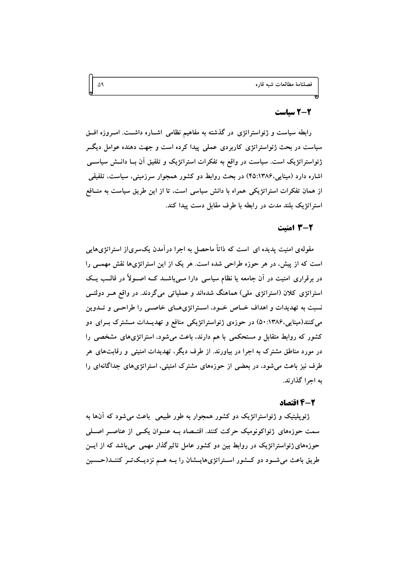#### 2-2 سیاست

رابطه سیاست و ژئواستراتژی در گذشته به مفاهیم نظامی اشـاره داشــت. امــروزه افــق سیاست در بحث ژئواستراتژی کاربردی عملی پیدا کرده است و جهت دهنده عوامل دیگــر ژئواستراتژیک است. سیاست در واقع به تفکرات استراتژیک و تلفیق آن بــا دانــش سیاســی اشاره دارد (مینایی،۴۵:۱۳۸۶) در بحث روابط دو کشور همجوار سرزمینی، سیاست، تلفیقی از همان تفکرات استراتژیکی همراه با دانش سیاسی است، تا از این طریق سیاست به منــافع استراتژیک بلند مدت در رابطه با طرف مقابل دست پیدا کند.

#### 2-3 امنیت

مقولهی امنیت پدیده ای است که ذاتاً ماحصل به اجرا درآمدن یکسری|ز استراتژیهایی است که از پیش، در هر حوزه طراحی شده است. هر یک از این استراتژیها نقش مهمــی را در برقراری امنیت در آن جامعه یا نظام سیاسی دارا مــیباشــد کــه اصــولأ در قالــب یــک استراتژی کلان (استراتژی ملی) هماهنگ شدهاند و عملیاتی میگردند. در واقع هــر دولتــی نسبت به تهدیدات و اهداف خــاص خــود، اســتراتژیهــای خاصــی را طراحــی و تــدوین می کنند(مینایی،۱۳۸۶:۵۰) در حوزهی ژئواستراتژیکی منافع و تهدیــدات مــشترک بــرای دو کشور که روابط متقابل و مستحکمی با هم دارند، باعث می شود، استراتژیهای مشخصی را در مورد مناطق مشترک به اجرا در بیاورند. از طرف دیگر، تهدیدات امنیتی و رقابتهای هر طرف نیز باعث می شود، در بعضی از حوزههای مشترک امنیتی، استراتژیهای جداگانهای را به اجرا گذارند.

#### 2-4 اقتصاد

ژئوپلیتیک و ژئواستراتژیک دو کشور همجوار به طور طبیعی باعث می شود که آنها به سمت حوزههای ژئواکونومیک حرکت کنند. اقتـصاد بــه عنــوان یکــی از عناصــر اصــلی حوزههای ژئواستراتژیک در روابط بین دو کشور عامل تاثیرگذار مهمی ًمیباشد که از ایــن طریق باعث می شود دو کشور استراتژیهایسشان را بـه هـم نزدیـکتـر کننـد(حـسین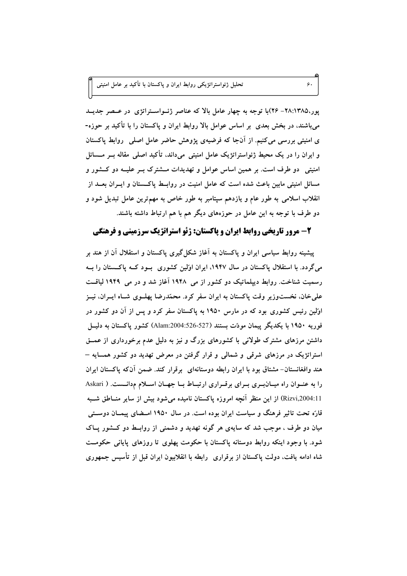پور،۱۳۸۵: ۲۸- ۲۶)با توجه به چهار عامل بالا که عناصر ژئـواسـتراتژی در عـصر جدیــد می،باشند، در بخش بعدی ً بر اساس عوامل بالا روابط ایران و پاکستان را با تأکید بر حوزه-ی امنیتی بررسی می کنیم. از أنجا که فرضیهی پژوهش حاضر عامل اصلی ِ روابط پاکستان و ایران را در یک محیط ژئواستراتژیک عامل امنیتی میداند، تأکید اصلی مقاله بـر مــسائل امنیتی ِ دو طرف است. بر همین اساس عوامل و تهدیدات مــشترک بــر علیــه دو کــشور و مسائل امنیتی مابین باعث شده است که عامل امنیت در روابــط پاکــستان و ایــران بعــد از انقلاب اسلامی به طور عام و یازدهم سیتامبر به طور خاص به مهمترین عامل تبدیل شود و دو طرف با توجه به این عامل در حوزههای دیگر هم با هم ارتباط داشته باشند.

 $\epsilon$ .

# ۲- مرور تاریخی روابط ایران و پاکستان: ژئو استراتژیک سرزمینی و فرهنگی

پیشینه روابط سیاسی ایران و پاکستان به آغاز شکل گیری پاکستان و استقلال آن از هند بر میگردد. با استقلال پاکستان در سال ۱۹۴۷، ایران اوّلین کشوری بسود کــه پاکــستان را بــه رسمیت شناخت. روابط دیپلماتیک دو کشور از می ۱۹۴۸ آغاز شد و در می ۱۹۴۹ لیاقت علم خان، نخستوزیر وقت پاکستان به ایران سفر کرد. محمّدرضا پهلــوی شــاه ایـــران، نیــز اوُلین رئیس کشوری بود که در مارس ۱۹۵۰ به پاکستان سفر کرد و پس از آن دو کشور در فوريه ۱۹۵۰ با يكديگر پيمان مودّت بستند (527-526:004.1am) كشور ياكستان به دليــل داشتن مرزهای مشترک طولانی با کشورهای بزرگ و نیز به دلیل عدم برخورداری از عمــق استراتژیک در مرزهای شرقی و شمالی و قرار گرفتن در معرض تهدید دو کشور همسایه – هند وافغانستان- مشتاق بود با ايران رابطه دوستانهاي برقرار كند. ضمن آنکه پاکستان ايران را به عنــوان راه میــانبــری بــرای برقــراری ارتبــاط بــا جهــان اســلام مدانـــست. ( Askari Rizvi,2004:11) از این منظر آنچه امروزه پاکستان نامیده می شود بیش از سایر منــاطق شــبه قارّه تحت تاثیر فرهنگ و سیاست ایران بوده است. در سال ۱۹۵۰ امـضای پیمــان دوســتی میان دو طرف ، موجب شد که سایهی هر گونه تهدید و دشمنی از روابــط دو کــشور پــاک شود. با وجود اینکه روابط دوستانه پاکستان با حکومت پهلوی تا روزهای پایانی حکومــت شاه ادامه یافت، دولت پاکستان از برقراری ۖ رابطه با انقلابیون ایران قبل از تأسیس جمهوری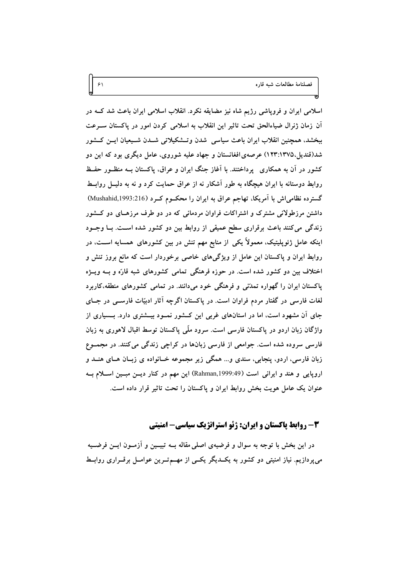فصلنامهٔ مطالعات شبه قاره

اسلامی ایران و فروپاشی رژیم شاه نیز مضایقه نکرد. انقلاب اسلامی ایران باعث شد کــه در آن زمان ژنرال ضیاءالحق تحت تاثیر این انقلاب به اسلامی کردن امور در پاکستان سـرعت ببخشد، همچنین انقلاب ایران باعث سیاسی شدن وتــشکیلاتی شــدن شــیعیان ایــن کــشور شد(قندیل،۱۳۷۵:۱۲۳) عرصهی افغانستان و جهاد علیه شوروی، عامل دیگری بود که این دو کشور در آن به همکاری پرداختند. با آغاز جنگ ایران و عراق، پاکستان بــه منظـور حفــظ روابط دوستانه با ایران هیچگاه به طور آشکار نه از عراق حمایت کرد و نه به دلیــل روابــط گسترده نظامی اش با آمریکا، تهاجم عراق به ایران را محکـوم کـرد (Mushahid,1993:216) داشتن مرزطولانی مشترک و اشتراکات فراوان مردمانی که در دو طرف مرزهـای دو کــشور زندگی میکنند باعث برقراری سطح عمیقی از روابط بین دو کشور شده است. بـا وجــود اینکه عامل ژئوپلیتیک، معمولاً یکی از منابع مهم تنش در بین کشورهای همسایه اســت، در روابط ایران و پاکستان این عامل از ویژگیهای خاصی برخوردار است که مانع بروز تنش و اختلاف بین دو کشور شده است. در حوزه فرهنگی تمامی کشورهای شبه قارّه و بــه ویــژه پاکستان ایران را گهواره تمدّنی و فرهنگی خود میدانند. در تمامی کشورهای منطقه،کاربرد لغات فارسی در گفتار مردم فراوان است. در پاکستان اگرچه آثار ادبیّات فارســی در جــای جای آن مشهود است، اما در استانهای غربی این کــشور نمــود بیــشتری دارد. بــسیاری از واژگان زبان اردو در پاکستان فارسی است. سرود ملّی پاکستان توسط اقبال لاهوری به زبان فارسی سروده شده است. جوامعی از فارسی زبانها در کراچی زندگی میکنند. در مجمـوع زبان فارسی، اردو، پنجابی، سندی و… همگی زیر مجموعه خــانواده ی زبــان هــای هنــد و اروپایی و هند و ایرانی است (Rahman,1999:49) این مهم در کنار دیسن مبسین اسبلام بــه عنوان یک عامل هویت بخش روابط ایران و پاکستان را تحت تاثیر قرار داده است.

 $\mathcal{F}$ 

# 3- روابط پاکستان و ایران: ژئو استراتژیک سیاسی- امنیتی

در این بخش با توجه به سوال و فرضیهی اصلی مقاله بــه تبیــین و آزمــون ایــن فرضــیه می پردازیم. نیاز امنیتی دو کشور به یک دیگر یکسی از مهسم تسرین عوامــل برقسراری روابــط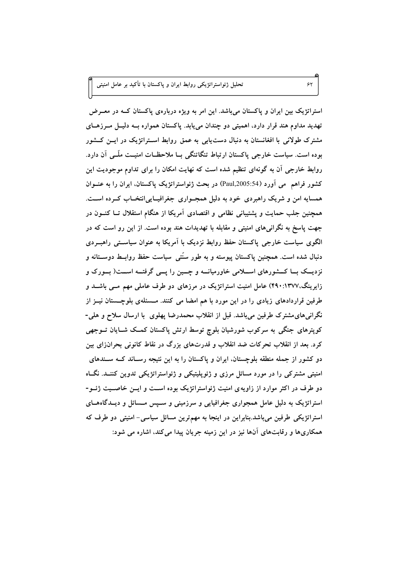استراتژیک بین ایران و پاکستان میباشد. این امر به ویژه دربارهی پاکستان کــه در معــرض تهدید مداوم هند قرار دارد، اهمیتی دو چندان مییابد. پاکستان همواره بــه دلیــل مــرزهــای مشترک طولانی با افغانستان به دنبال دستLبابی به عمق روابط اسـتراتژیک در ایــن کــشور بوده است. سیاست خارجی پاکستان ارتباط تنگاتنگی بــا ملاحظــات امنیــت ملّــی آن دارد. روابط خارجی آن به گونهای تنظیم شده است که نهایت امکان را برای تداوم موجودیت این كشور فراهم ً مي آورد (Paul,2005:54) در بحث ژئواستراتژيک پاکستان، ايران را به عنــوان همسایه امن و شریک راهبردی خود به دلیل همجـواری جغرافیـایی|نتخـاب کــرده اســت. همچنین جلب حمایت و پشتیبانی نظامی و اقتصادی آمریکا از هنگام استقلال تــا کنــون در جهت پاسخ به نگرانیهای امنیتی و مقابله با تهدیدات هند بوده است. از این رو است که در الگوی سیاست خارجی پاکستان حفظ روابط نزدیک با آمریکا به عنوان سیاســتی راهبــردی دنبال شده است. همچنین پاکستان پیوسته و به طور سنّتی سیاست حفظ روابــط دوســـتانه و نزدیــک بــا کـــشورهای اســـلامی خاورمیانـــه و چــین را پـــی گرفتـــه اســـت( بـــورک و زایرینگ،۱۳۷۷:۱۳۹۰) عامل امنیت استراتژیک در مرزهای دو طرف عاملی مهم مسی باشــد و طرفین قراردادهای زیادی را در این مورد با هم امضا می کنند. مـسئلهی بلوچـستان نیــز از نگرانی۵های۵شترک طرفین میباشد. قبل از انقلاب محمدرضا پهلوی با ارسال سلاح و هلی-کوپترهای جنگی به سرکوب شورشیان بلوچ توسط ارتش پاکستان کمک شــایان تــوجهی کرد. بعد از انقلاب تحرکات ضد انقلاب و قدرتهای بزرگ در نقاط کانونی بحران(ای بین دو کشور از جمله منطقه بلوچستان، ایران و پاکستان را به این نتیجه رسـاند کــه ســندهای امنیتی مشترکی را در مورد مسائل مرزی و ژئوپلیتیکی و ژئواستراتژیکی تدوین کننــد. نگــاه دو طرف در اکثر موارد از زاویهی امنیت ژئواستراتژیک بوده اسـت و ایــن خاصــیت ژئــو-استراتژیک به دلیل عامل همجواری جغرافیایی و سرزمینی و سـپس مـسائل و دیــدگاههــای استراتژیکی طرفین میباشد.بنابراین در اینجا به مهمترین مسائل سیاسی- امنیتی دو طرف که همکاریها و رقابتهای آنها نیز در این زمینه جریان پیدا می کند، اشاره می شود:

 $55$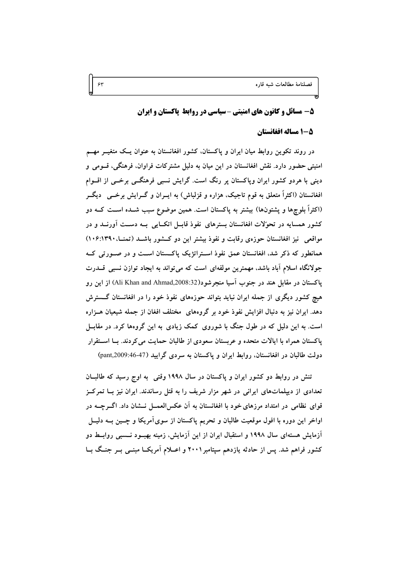فصلنامة مطالعات شيه قاره

#### 5- مسائل و کانون های امنیتی -سیاسی در روابط پاکستان و ایران

#### 5-1 مساله افغانستان

در روند تکوین روابط میان ایران و پاکستان، کشور افغانستان به عنوان یـک متغیــر مهــم امنیتی حضور دارد. نقش افغانستان در این میان به دلیل مشترکات فراوان، فرهنگی، قسومی و دینی با هردو کشور ایران وپاکستان پر رنگ است. گرایش نسبی فرهنگــی برخــی از اقــوام افغانستان (اکثراً متعلق به قوم تاجیک، هزاره و قزلباش) به ایــران و گـــرایش برخـــی ۖ دیگـــر (اکثراً بلوچها و پشتونها) بیشتر به پاکستان است. همین موضوع سبب شــده اســت کــه دو کشور همسایه در تحوّلات افغانستان بسترهای نفوذ قابــل اتکــایی بــه دســت آورنــد و در مواقعی نیز افغانستان حوزهی رقابت و نفوذ بیشتر این دو کشور باشد (تمنـ). ۱۳۹۰:۱۳۹۰) همانطور که ذکر شد، افغانستان عمق نفوذ اسـتراتژیک پاکـستان اسـت و در صـورتی کـه جولانگاه اسلام آباد باشد، مهمترین مولفهای است که می تواند به ایجاد توازن نسبی قـــدرت ياكستان در مقابل هند در جنوب آسيا منجرشود(Ali Khan and Ahmad,2008:32) از اين رو هیچ کشور دیگری از جمله ایران نباید بتواند حوزههای نفوذ خود را در افغانستان گــسترش دهد. ایران نیز به دنبال افزایش نفوذ خود بر گروههای ًمختلف افغان از جمله شیعیان هــزاره است. به این دلیل که در طول جنگ با شوروی کمک زیادی به این گروهها کرد. در مقابــل پاکستان همراه با ایالات متحده و عربستان سعودی از طالبان حمایت می کردند. بـا اسـتقرار دولت طالبان در افغانستان، روابط ایران و پاکستان به سردی گرایید (47-46:pant,2009)

تنش در روابط دو کشور ایران و پاکستان در سال ۱۹۹۸ وقتی به اوج رسید که طالبان تعدادی از دیپلماتهای ایرانی در شهر مزار شریف را به قتل رساندند. ایران نیز بــا تمرکــز قوای نظامی در امتداد مرزهای خود با افغانستان به آن عکسالعمــل نـــشان داد. اگـــرچـــه در اواخر این دوره با افول موقعیت طالبان و تحریم پاکستان از سوی آمریکا و چــین بــه دلیــل آزمایش هستهای سال ۱۹۹۸ و استقبال ایران از این آزمایش، زمینه بهبــود نــسبی روابــط دو کشور فراهم شد. پس از حادثه یازدهم سپتامبر ۲۰۰۱ و اعــلام آمریکــا مبنــی بــر جنــگ بــا

 $\gamma$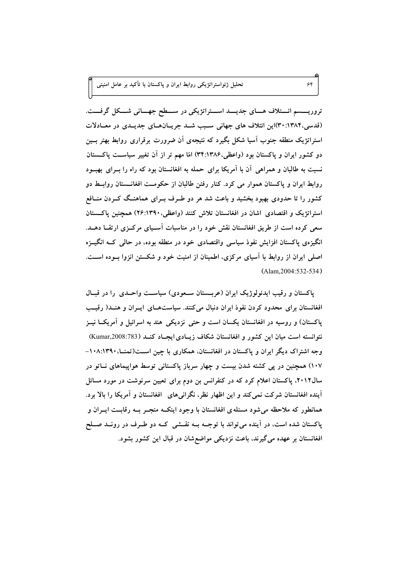تروریــــسم ائـــتلاف هـــای جدیـــد اســـتراتژیکی در ســـطح جهـــانی شـــکل گرفـــت. (قدسی،۱۳۸۴: ۳۰)این ائتلاف های جهانی سبب شد جریانهای جدیدی در معادلات استراتژیک منطقه جنوب آسیا شکل بگیرد که نتیجهی آن ضرورت برقراری روابط بهتر بسین دو کشور ایران و پاکستان بود (واعظی،۱۳۸۶:۳۴) امّا مهم تر از آن تغییر سیاست پاکستان نسبت به طالبان و همراهی آن با آمریکا برای حمله به افغانستان بود که راه را بــرای بهبــود روابط ایران و پاکستان هموار می کرد. کنار رفتن طالبان از حکومـت افغانــستان روابــط دو کشور را تا حدودی بهبود بخشید و باعث شد هر دو طـرف بــرای هماهنــگ کــردن منــافع استراتژیک و اقتصادی اشان در افغانستان تلاش کنند (واعظی،۱۳۹۰/ ۲۶:۱۳۹) همچنین پاکستان سعی کرده است از طریق افغانستان نقش خود را در مناسبات آسـیای مرکــزی ارتقــا دهــد. انگیزهی پاکستان افزایش نفوذ سیاسی واقتصادی خود در منطقه بوده، در حالبی کــه انگیــزه اصلی ایران از روابط با آسیای مرکزی، اطمینان از امنیت خود و شکستن انزوا بـوده اسـت.  $($ Alam  $2004:532-534)$ 

 $55$ 

پاکستان و رقیب ایدئولوژیک ایران (عربــستان ســعودی) سیاســت واحــدی را در قبــال افغانستان برای محدود کردن نفوذ ایران دنبال میکنند. سیاستهای ایسران و هنسد( رقیب پاکستان) و روسیه در افغانستان یکسان است و حتی نزدیکی هند به اسرائیل و آمریکــا نیــز نتوانسته است میان این کشور و افغانستان شکاف زیـادی ایجـاد کنـد (Kumar,2008:783) وجه اشتراک دیگر ایران و پاکستان در افغانستان، همکاری با چین اسـت(تمنــا، ۱۰۸:۱۳۹۰– ۱۰۷) همچنین در پی کشته شدن بیست و چهار سرباز پاکستانی توسط هواپیماهای نــاتو در سال۱۲:۲، پاکستان اعلام کرد که در کنفرانس بن دوم برای تعیین سرنوشت در مورد مسائل آینده افغانستان شرکت نمی کند و این اظهار نظر، نگرانیهای افغانستان و آمریکا را بالا برد. همانطور که ملاحظه میشود مسئله ی افغانستان با وجود اینکــه منجــر بــه رقابــت ایــران و پاکستان شده است، در آینده می تواند با توجــه بــه نقــشی کــه دو طــرف در رونــد صــلح افغانستان بر عهده مي گيرند، باعث نزديكي مواضع شان در قبال اين كشور بشود.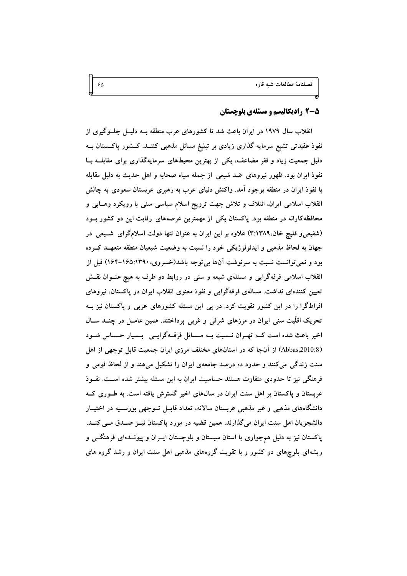#### 5-5 رادیکالیسم و مسئلهی بلوچستان

انقلاب سال ۱۹۷۹ در ایران باعث شد تا کشورهای عرب منطقه بــه دلیــل جلــوگیری از نفوذ عقیدتی تشیع سرمایه گذاری زیادی بر تبلیغ مسائل مذهبی کننــد. کــشور یاکــستان بــه دلیل جمعیت زیاد و فقر مضاعف، یکی از بهترین محیطهای سرمایهگذاری برای مقابلــه بــا نفوذ ایران بود. ظهور نیروهای ضد شیعی از جمله سپاه صحابه و اهل حدیث به دلیل مقابله با نفوذ ایران در منطقه بوجود امد. واکنش دنیای عرب به رهبری عربستان سعودی به چالش انقلاب اسلامی ایران، ائتلاف و تلاش جهت ترویج اسلام سیاسی سنی با رویکرد وهــابی و محافظه کارانه در منطقه بود. پاکستان یکی از مهمترین عرصههای رقابت این دو کشور بـود (شفیعیو قلیچ خان،۱۳۸۹:۳) علاوه بر این ایران به عنوان تنها دولت اسلامگرای شــیعی در جهان به لحاظ مذهبی و ایدئولوژیکی خود را نسبت به وضعیت شیعیان منطقه متعهــد کــرده بود و نمی توانست نسبت به سرنوشت آنها بی توجه باشد(خسروی،۱۶۵:۱۳۹۰–۱۶۴) قبل از انقلاب اسلامی فرقهگرایی و مسئلهی شیعه و سنی در روابط دو طرف به هیچ عنــوان نقــش تعیین کنندهای نداشت. مسالهی فرقهگرایی و نفوذ معنوی انقلاب ایران در پاکستان، نیروهای افراطگرا را در این کشور تقویت کرد. در پی این مسئله کشورهای عربی و پاکستان نیز بـه تحریک اقلّیت سنی ایران در مرزهای شرقی و غربی پرداختند. همین عامــل در چنــد ســال اخیر باعث شده است کسه تهـران نـسبت بــه مـسائل فرقــهگرایــی بـسیار حـساس شــود (Abbas,2010:8) از آنجا که در استانهای مختلف مرزی ایران جمعیت قابل توجهی از اهل سنت زندگی می کنند و حدود ده درصد جامعهی ایران را تشکیل میهند و از لحاظ قومی و فرهنگی نیز تا حدودی متفاوت هستند حساسیت ایران به این مسئله بیشتر شده اســت. نفــوذ عربستان و پاکستان بر اهل سنت ایران در سالهای اخیر گسترش یافته است. به طــوری کــه دانشگاههای مذهبی و غیر مذهبی عربستان سالانه، تعداد قابــل تــوجهی بورســیه در اختیــار دانشجویان اهل سنت ایران میگذارند. همین قضیه در مورد پاکستان نیــز صــدق مــی کنــد. پاکستان نیز به دلیل همجواری با استان سیستان و بلوچستان ایسران و پیونسدهای فرهنگے و ریشهای بلوچهای دو کشور و با تقویت گروههای مذهبی اهل سنت ایران و رشد گروه های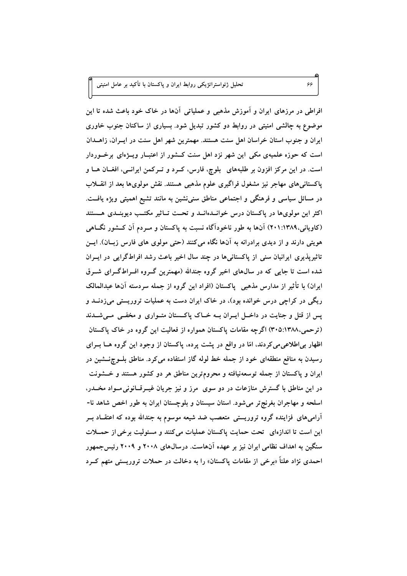افراطی در مرزهای ایران و آموزش مذهبی و عملیاتی آنها در خاک خود باعث شده تا این موضوع به چالشی امنیتی در روابط دو کشور تبدیل شود. بسیاری از ساکنان جنوب خاوری ایران و جنوب استان خراسان اهل سنت هستند. مهمترین شهر اهل سنت در ایــران، زاهــدان است که حوزه علمیهی مکی این شهر نزد اهل سنت کـشور از اعتبـار ویــژهای برخــوردار است. در این مرکز افزون بر طلبههای بلوچ، فارس، کـرد و تـرکمن ایرانـی، افغــان هــا و پاکستانی های مهاجر نیز مشغول فراگیری علوم مذهبی هستند. نقش مولویها بعد از انقــلاب در مسائل سیاسی و فرهنگی و اجتماعی مناطق سنی نشین به مانند تشیع اهمیتی ویژه یافت. اکثر این مولویها در پاکستان درس خوانیدهانید و تحیت تباثیر مکتب دیوینیدی هستند (کاویانی،۱۳۸۹:۱۳۸۹) آنها به طور ناخودآگاه نسبت به پاکستان و مــردم آن کــشور نگــاهی هویتی دارند و از دیدی برادرانه به آنها نگاه میکنند (حتی مولوی های فارس زبــان). ایــن تاثیرپذیری ایرانیان سنی از پاکستانیها در چند سال اخیر باعث رشد افراطگرایی در ایسران شده است تا جایی که در سالهای اخیر گروه جندالله (مهمترین گـروه افـراطگـرای شـرق ایران) با تأثیر از مدارس مذهبی پاکستان (افراد این گروه از جمله سردسته آنها عبدالمالک ریگی در کراچی درس خوانده بود)، در خاک ایران دست به عملیات تروریستی میزدنــد و پس از قتل و جنایت در داخـل ایــران بــه خــاک پاکــستان متــواری و مخفــی مــیشــدند (ترحمی،۱۳۸۸:۴۰۵) اگرچه مقامات پاکستان همواره از فعالیت این گروه در خاک پاکستان اظهار بی اطلاعی می کردند، امّا در واقع در پشت پرده، پاکستان از وجود این گروه هــا بــرای رسیدن به منافع منطقهای خود از جمله خط لوله گاز استفاده می کرد. مناطق بلــوچنــشین در ایران و پاکستان از جمله توسعهنیافته و محرومترین مناطق هر دو کشور هستند و خــشونت در این مناطق با گسترش منازعات در دو سوی ً مرز و نیز جریان غیــرقــانونی مــواد مخــدر، اسلحه و مهاجران بغرنج تر می شود. استان سیستان و بلوچستان ایران به طور اخص شاهد نا-آرامیهای فزاینده گروه تروریستی متعصب ضد شیعه موسوم به جندالله بوده که اعتقــاد بــر این است تا اندازهای تحت حمایت پاکستان عملیات می کنند و مسئولیت برخی از حمــلات سنگین به اهداف نظامی ایران نیز بر عهده آنهاست. درسال@ای ۲۰۰۸ و ۲۰۰۹ رئیس جمهور احمدی نژاد علناً «برخی از مقامات پاکستان» را به دخالت در حملات تروریستی متهم کــرد

۶۶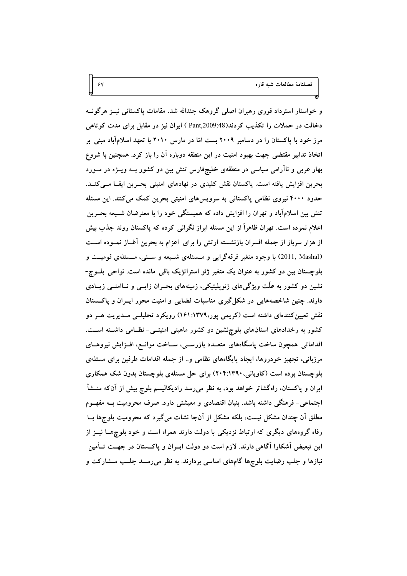و خواستار استرداد فوری رهبران اصلی گروهک جندالله شد. مقامات پاکستانی نیــز هرگونــه دخالت در حملات را تکذیب کردند(Aant,2009:48) ایران نیز در مقابل برای مدت کوتاهی مرز خود با پاکستان را در دسامبر ۲۰۰۹ بست امّا در مارس ۲۰۱۰ با تعهد اسلامآباد مبنی بر اتخاذ تدابیر مقتضی جهت بهبود امنیت در این منطقه دوباره آن را باز کرد. همچنین با شروع بهار عربی و ناآرامی سیاسی در منطقهی خلیجفارس تنش بین دو کشور بـه ویــژه در مــورد بحرین افزایش یافته است. پاکستان نقش کلیدی در نهادهای امنیتی بحـرین ایفـا مـیکنــد. حدود ۴۰۰۰ نیروی نظامی پاکستانی به سرویسهای امنیتی بحرین کمک میکنند. این مسئله تنش بین اسلامآباد و تهران را افزایش داده که همبستگی خود را با معترضان شــیعه بحــرین اعلام نموده است. تهران ظاهراً از این مسئله ابراز نگرانی کرده که پاکستان روند جذب بیش از هزار سرباز از جمله افسران بازنشسته ارتش را برای اعزام به بحرین أغــاز نمــوده اســت (2011, Mashal) با وجود متغیر فرقهگرایی و مــسئلهی شــیعه و ســنی، مــسئلهی قومیــت و بلوچستان بین دو کشور به عنوان یک متغیر ژئو استراتژیک باقی مانده است. نواحی بلــوچ-نشین دو کشور به علّت ویژگیهای ژئوپلیتیکی، زمینههای بحــران زایــی و نــاامنــی زیــادی دارند. چنین شاخصههایی در شکل گیری مناسبات فضایی و امنیت محور ایــران و پاکــستان نقش تعیین کنندهای داشته است (کریمی پور،۱۳۷۹:۱۳۷۹) رویکرد تحلیلــی مــدیریت هــر دو کشور به رخدادهای استانهای بلوچنشین دو کشور ماهیتی امنیتـی- نظـامی داشـته اسـت. اقداماتی همچون ساخت پاسگاههای متعــدد بازرســی، ســاخت موانــع، افــزايش نيروهــای مرزبانی، تجهیز خودروها، ایجاد پایگاههای نظامی و.. از جمله اقدامات طرفین برای مسئلهی بلوچستان بوده است (کاویانی، ۲۰۴:۱۳۹۰) برای حل مسئلهی بلوچستان بدون شک همکاری ایران و پاکستان، راهگشاتر خواهد بود، به نظر می رسد رادیکالیسم بلوچ بیش از آنکه منــشأ اجتماعی- فرهنگی داشته باشد، بنیان اقتصادی و معیشتی دارد. صرف محرومیت بــه مفهــوم مطلق اَن چندان مشکل نیست، بلکه مشکل از اَنجا نشات میگیرد که محرومیت بلوچها بــا رفاه گروههای دیگری که ارتباط نزدیکی با دولت دارند همراه است و خود بلوچهــا نیــز از این تبعیض آشکارا آگاهی دارند. لازم است دو دولت ایــران و پاکــستان در جهــت تــأمین نیازها و جلب رضایت بلوچها گامهای اساسی بردارند. به نظر میرسـد جلــب مــشارکت و

 $\gamma$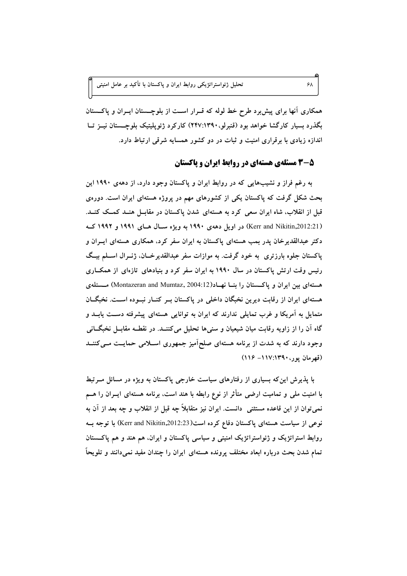همکاری آنها برای پیش برد طرح خط لوله که قـرار اسـت از بلوچـستان ایــران و پاکــستان بگذرد بسیار کارگشا خواهد بود (قنبرلو،۱۳۹۰:۱۳۹۷) کارکرد ژئوپلیتیک بلوچستان نیــز تــا اندازه زیادی با برقراری امنیت و ثبات در دو کشور همسایه شرقی ارتباط دارد.

### ۰۵-۳ مسئلهی هستهای در روابط ایران و باکستان

به رغم فراز و نشیبهایی که در روابط ایران و پاکستان وجود دارد، از دههی ۱۹۹۰ این بحث شکل گرفت که پاکستان یکی از کشورهای مهم در پروژه هستهای ایران است. دورهی قبل از انقلاب، شاه ایران سعی کرد به هستهای شدن پاکستان در مقابـل هنــد کمــک کنــد. (Kerr and Nikitin,2012:21) در اویل دههی ۱۹۹۰ به ویژه سـال هـای ۱۹۹۱ و ۱۹۹۲ کـه دکتر عبدالقدیرخان پدر بمب هستهای پاکستان به ایران سفر کرد، همکاری هستهای ایــران و پاکستان جلوه بارزتری به خود گرفت. به موازات سفر عبدالقدیرخــان، ژنــرال اســلم بیــگ رئیس وقت ارتش پاکستان در سال ۱۹۹۰ به ایران سفر کرد و بنیادهای تازهای از همکـاری هستهای بین ایران و پاکستان را بنــا نهــاد(Montazeran and Mumtaz, 2004:12) مــسئلهی هستهای ایران از رقابت دیرین نخبگان داخلی در پاکستان بــر کنــار نبــوده اســت. نخبگــان متمایل به آمریکا و غرب تمایلی ندارند که ایران به توانایی هستهای پیشرفته دست یابـد و گاه آن را از زاویه رقابت میان شیعیان و سنیها تحلیل میکننــد. در نقطــه مقابــل نخبگــانی وجود دارند که به شدت از برنامه هستهای صلحآمیز جمهوری اسـلامی حمایـت مــیکننــد (قهرمان یور، ۱۱۷:۱۳۹۰– ۱۱۶)

با پذیرش این که بسیاری از رفتارهای سیاست خارجی پاکستان به ویژه در مسائل مــرتبط با امنیت ملی و تمامیت ارضی متأثر از نوع رابطه با هند است، برنامه هستهای ایــران را هـــم نمی توان از این قاعده مستثنی دانست. ایران نیز متقابلاً چه قبل از انقلاب و چه بعد از آن به نوعی از سیاست هستهای پاکستان دفاع کرده است(Kerr and Nikitin,2012:23) با توجه بــه روابط استراتژیک و ژئواستراتژیک امنیتی و سیاسی پاکستان و ایران، هم هند و هم پاکستان تمام شدن بحث درباره ابعاد مختلف پرونده هستهای ایران را چندان مفید نمی،دانند و تلویحاً

 $5\lambda$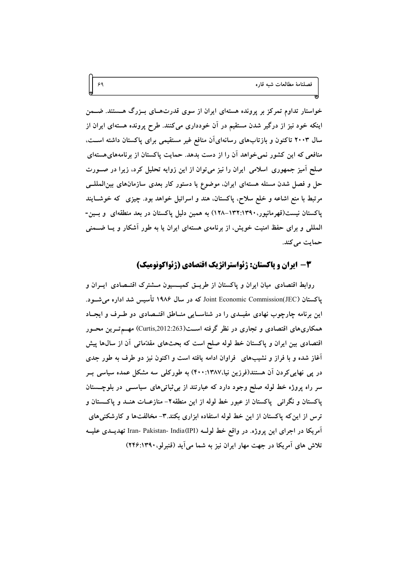خواستار تداوم تمرکز بر پرونده هستهای ایران از سوی قدرتهــای بــزرگ هـــستند. ضـــمن اینکه خود نیز از درگیر شدن مستقیم در آن خودداری میکنند. طرح پرونده هستهای ایران از سال ۲۰۰۳ تاکنون و بازتابهای رسانهایآن منافع غیر مستقیمی برای پاکستان داشته اســت، منافعی که این کشور نمی خواهد آن را از دست بدهد. حمایت پاکستان از برنامههای هستهای صلح اَمیز جمهوری اسلامی ایران را نیز می توان از این زوایه تحلیل کرد، زیرا در صــورت حل و فصل شدن مسئله هستهای ایران، موضوع یا دستور کار بعدی سازمانهای بین|لمللــی مرتبط با منع اشاعه و خلع سلاح، پاکستان، هند و اسرائیل خواهد بود. چیزی که خوشـایند یاکستان نیست(قهرمانیور،۱۳۹۰-۱۳۲.۱۳۹–۱۲۸) به همین دلیل پاکستان در بعد منطقهای و بسین-المللی و برای حفظ امنیت خویش، از برنامهی هستهای ایران یا به طور آشکار و یــا ضــمنی حمایت میکند.

۶۹

#### 3- ایران و پاکستان: ژئواستراتژیک اقتصادی (ژئواکونومیک)

روابط اقتصادی میان ایران و پاکستان از طریــق کمیــسیون مــشترک اقتــصادی ایــران و پاکستان Joint Economic Commission(JEC) که در سال ۱۹۸۶ تأسیس شد اداره می شـود. این برنامه چارچوب نهادی مفیـدی را در شناسـایی منـاطق اقتــصادی دو طــرف و ایجــاد همکاریهای اقتصادی و تجاری در نظر گرفته اســـن(Curtis,2012:263) مهــمتــرین محــور اقتصادی بین ایران و پاکستان خط لوله صلح است که بحثهای مقدّماتی آن از سالها پیش آغاز شده و با فراز و نشیبهای فراوان ادامه یافته است و اکنون نیز دو طرف به طور جدی در پی نهاییکردن اَن هستند(فرزین نیا،۱۳۸۷:۱۳۸۷) به طورکلبی سه مشکل عمده سیاسی بــر سر راه پروژه خط لوله صلح وجود دارد که عبارتند از بی ثباتی های سیاســی در بلوچـــستان پاکستان و نگرانی پاکستان از عبور خط لوله از این منطقه۲- منازعــات هنــد و پاکــستان و ترس از این که پاکستان از این خط لوله استفاده ابزاری بکند.۳- مخالفتها و کارشکنیهای آمریکا در اجرای این پروژه. در واقع خط لولـه (Iran- Pakistan- India(IPI تهدیــدی علیــه تلاش های آمریکا در جهت مهار ایران نیز به شما می آید (قنبرلو، ۱۳۹۰:۱۳۹۰)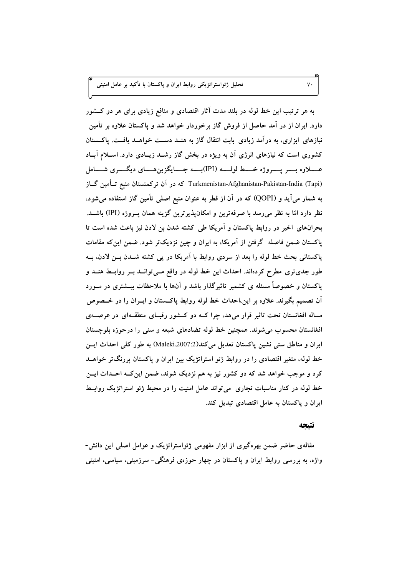به هر ترتیب این خط لوله در بلند مدت آثار اقتصادی و منافع زیادی برای هر دو کــشور دارد. ایران از در آمد حاصل از فروش گاز برخوردار خواهد شد و پاکستان علاوه بر تأمین نیازهای ابزاری، به درآمد زیادی بابت انتقال گاز به هنــد دســت خواهــد یافــت. یاکــستان کشوری است که نیازهای انرژی آن به ویژه در بخش گاز رشـد زیـادی دارد. اسـلام آبـاد عسلاوه بــــر يــــروژه خــــط لولــــه (IPI)بــــه جــــايگزين هــــاي ديگــــري شــــامل Turkmenistan-Afghanistan-Pakistan-India (Tapi) که در آن ترکمنستان منبع تــأمین گــاز به شمار می آید و (QOPI) که در آن از قطر به عنوان منبع اصلی تأمین گاز استفاده می شود. نظر دارد امّا به نظر می رسد با صرفهترین و امکان پذیر ترین گزینه همان پــروژه (IPI) باشــد. بحرانهای اخیر در روابط پاکستان و آمریکا طی کشته شدن بن لادن نیز باعث شده است تا پاکستان ضمن فاصله گرفتن از آمریکا، به ایران و چین نزدیکتر شود. ضمن این که مقامات پاکستانی بحث خط لوله را بعد از سردی روابط با آمریکا در پی کشته شـدن بـن لادن، بــه طور جدی تری مطرح کردهاند. احداث این خط لوله در واقع مـی توانــد بــر روابــط هنــد و یاکستان و خصوصاً مسئله ی کشمیر تاثیرگذار باشد و آنها با ملاحظات بیــشتری در مــورد آن تصمیم بگیرند. علاوه بر این،احداث خط لوله روابط پاکستان و ایــران را در خــصوص مساله افغانستان تحت تاثیر قرار میهد، چرا کـه دو کـشور رقبـای منطقـهای در عرصـهی افغانستان محسوب می شوند. همچنین خط لوله تضادهای شیعه و سنی را درحوزه بلوچستان ايران و مناطق سني نشين ياكستان تعديل مي كند(2007:2007.Maleki) به طور كلي احداث ايسن خط لوله، متغیر اقتصادی را در روابط ژئو استراتژیک بین ایران و پاکستان پررنگتر خواهــد کرد و موجب خواهد شد که دو کشور نیز به هم نزدیک شوند، ضمن این کـه احـداث ایــن خط لوله در کنار مناسبات تجاری می تواند عامل امنیت را در محیط ژئو استراتژیک روابط ایران و پاکستان به عامل اقتصادی تبدیل کند.

#### نتتحه

مقالهی حاضر ضمن بهرهگیری از ابزار مفهومی ژئواستراتژیک و عوامل اصلی این دانش-واژه، به بررسی روابط ایران و پاکستان در چهار حوزهی فرهنگی– سرزمینی، سیاسی، امنیتی

 $V \cdot$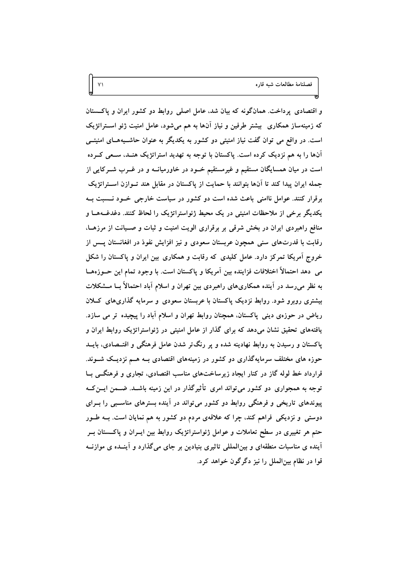و اقتصادی پرداخت. همانگونه که بیان شد، عامل اصلی روابط دو کشور ایران و پاکستان که زمینهساز همکاری ًبیشتر طرفین و نیاز آنها به هم میشود، عامل امنیت ژئو اســتراتژیک است. در واقع می توان گفت نیاز امنیتی دو کشور به یکدیگر به عنوان حاشـیههـای امنیتــی آنها را به هم نزدیک کرده است. پاکستان با توجه به تهدید استراتژیک هنـد، سـعی کــرده است در میان همسایگان مستقیم و غیرمستقیم خــود در خاورمیانــه و در غــرب شــرکایی از جمله ایران پیدا کند تا آنها بتوانند با حمایت از پاکستان در مقابل هند تـوازن اســتراتژیک برقرار کنند. عوامل ناامنی باعث شده است دو کشور در سیاست خارجی خسود نسسبت ب یکدیگر برخی از ملاحظات امنیتی در یک محیط ژئواستراتژیک را لحاظ کنند. دغدغــههــا و منافع راهبردی ایران در بخش شرقی بر برقراری الویت امنیت و ثبات و صـیانت از مرزهـا، رقابت با قدرتهای سنی همچون عربستان سعودی و نیز افزایش نفوذ در افغانستان پــس از خروج آمریکا تمرکز دارد. عامل کلیدی که رقابت و همکاری بین ایران و پاکستان را شکل می دهد احتمالاً اختلافات فزاینده بین آمریکا و پاکستان است. با وجود تمام این حــوزههــا به نظر میرسد در آینده همکاریهای راهبردی بین تهران و اسلام آباد احتمالاً بــا مــشکلات بیشتری روبرو شود. روابط نزدیک پاکستان با عربستان سعودی و سرمایه گذاریهای کــلان ریاض در حوزهی دینی پاکستان، همچنان روابط تهران و اسلام آباد را پیچیده تر می سازد. یافتههای تحقیق نشان میدهد که برای گذار از عامل امنیتی در ژئواستراتژیک روابط ایران و پاکستان و رسیدن به روابط نهادینه شده و پر رنگتر شدن عامل فرهنگی و اقتــصادی، بایــد حوزه های مختلف سرمایهگذاری دو کشور در زمینههای اقتصادی بـه هــم نزدیـک شــوند. قرارداد خط لوله گاز در کنار ایجاد زیرساختهای مناسب اقتصادی، تجاری و فرهنگــی بــا توجه به همجواری دو کشور میتواند امری تأثیرگذار در این زمینه باشــد. ضــمن ایــن کــه پیوندهای تاریخی و فرهنگی روابط دو کشور میتواند در آینده بسترهای مناسبی را بــرای دوستی و نزدیکی فراهم کند، چرا که علاقهی مردم دو کشور به هم نمایان است. بــه طــور حتم هر تغییری در سطح تعاملات و عوامل ژئواستراتژیک روابط بین ایــران و پاکـــستان بــر آینده ی مناسبات منطقهای و بین|لمللی تاثیری بنیادین بر جای میگذارد و آینــده ی موازنــه قوا در نظام بینالملل را نیز دگرگون خواهد کرد.

 $Y \setminus$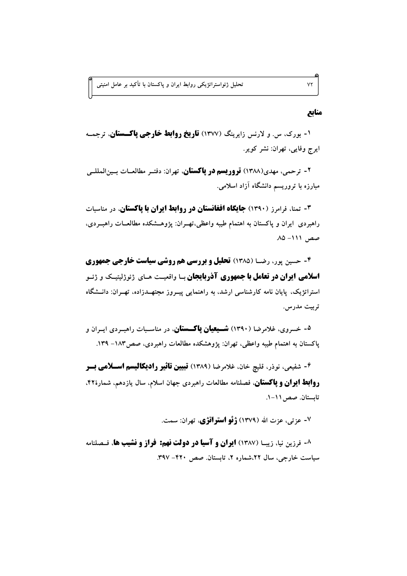منابع

 $Y\Upsilon$ 

۱- بورک، س. و لارنس زایرینگ (۱۳۷۷) **تاریخ روابط خارجی یاکستان**، ترجمـه ايرج وفايي، تهران: نشر كوير.

۲ - ترحمي، مهدي(۱۳۸۸) **تروريسم در پاکستان**، تهران: دفتـر مطالعــات بــين|لمللــي مبارزه با تروریسم دانشگاه آزاد اسلامی.

**۳- تمنا، فرامرز (۱۳۹۰) جایگاه افغانستان در روابط ایران با پاکستان،** در مناسبات راهبردی ایران و پاکستان به اهتمام طیبه واعظی،تهـران: پژوهـشکده مطالعــات راهبــردی،  $\mathcal{M}$  - 111  $\mathcal{M}$ 

**۴- حسین پور، رضیا (۱۳۸۵) تحلیل و بررسی هم روشی سیاست خارجی جمهوری اسلامی ایران در تعامل با جمهوری آذربایجان** ب**ا واقعیت ه**ای ژئوژلیتیک و ژئیو استراتژیک، پایان نامه کارشناسی ارشد، به راهنمایی پیـروز مجتهــدزاده، تهـران: دانــشگاه تربيت مدرس.

<sup>۵</sup>- خسروی، غلامرضا (۱۳۹۰) **شــیعیان یاکـــستان**، در مناســبات راهبــردی ایــران و ياكستان به اهتمام طيبه واعظى، تهران: يژوهشكده مطالعات راهبردي، صص١٨٣ ـ ١٣٩.

**۴- شفیعی، نوذر، قلیچ خان، غلامرضا (۱۳۸۹) <b>تبیین تاثیر رادیکالیسم اســلامی بــر روابط ایران و یاکستان**، فصلنامه مطالعات راهبردی جهان اسلام، سال یازدهم، شمارهٔ۴۲. تابستان. صص ١١-١.

۷- عزتی، عزت الله (۱۳۷۹) **ژئو استراتژی**، تهران: سمت.

**۸- فرزین نیا، زیب (۱۳۸۷) ایران و آسیا در دولت نهم: فراز و نشیب ها**، فیصلنامه سیاست خارجی، سال ۲۲،شماره ۲، تابستان صص ۴۲۰- ۳۹۷.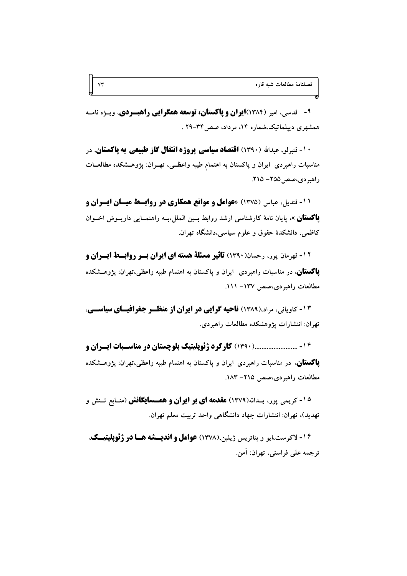۹- قدسی، امیر (۱۳۸۴)**ایران و پاکستان، توسعه همگرایی راهبودی**، ویاژه نامله همشهری دیپلماتیک،شماره ۱۴، مرداد، صص۴۳-۲۹ .

 $Y\Upsilon$ 

**۱۰- تنبرلو، عبدالله (۱۳۹۰) اقتصاد سیاسی پروژه انتقال گاز طبیعی به پاکستان، در** مناسبات راهبردی ایران و پاکستان به اهتمام طیبه واعظـی، تهـران: پژوهـشکده مطالعـات راهبردی،صص20۵– ۲۱۵.

**11- قندیل، عباس (۱۳۷۵) «عوامل و موانع همکاری در روابسط میسان ایسران و پاکستان** ». پایان نامهٔ کارشناسی ارشد روابط بــین الملل،بــه راهنمــایی داریــوش اخــوان کاظمی، دانشکدهٔ حقوق و علوم سیاسی،دانشگاه تهران.

**12- قهرمان پور، رحمان(۱۳۹۰) تاثیر مسئلة هسته ای ایران بسر روابسط ایسران و پاکستان**، در مناسبات راهبردی ایران و پاکستان به اهتمام طیبه واعظی،تهران: یژوهــشکده مطالعات راهبردی،صص ١٣٧- ١١١.

**۱۳- کاویانی، مراد،(۱۳۸۹) ناحیه گرایی در ایران از منظـر جغرافیـای سیاسـی.** تهران: انتشارات پژوهشکده مطالعات راهبر دی.

۱۴ - ........................... کارکرد ژئویلیتیک بلوچستان در مناسـبات ایـران و **یاکستان**، در مناسبات راهبردی ایران و پاکستان به اهتمام طیبه واعظی،تهران: پژوهــشکده مطالعات راهبردي،صص ٢١٥- ١٨٣.

<sup>۱۵</sup>- کریمی یور، پیداش(۱۳۷۹) **مقدمه ای بر ایران و همسسایگانش** (منـابع تـنش و تهديد)، تهران: انتشارات جهاد دانشگاهی واحد تربيت معلم تهران.

۱۶- لاکوست،ایو و بئاتریس ژیلبن،(۱۳۷۸) **عوامل و اندیسشه هسا در ژئویلیتیسک**، ترجمه على فراستي، تهران: آمن.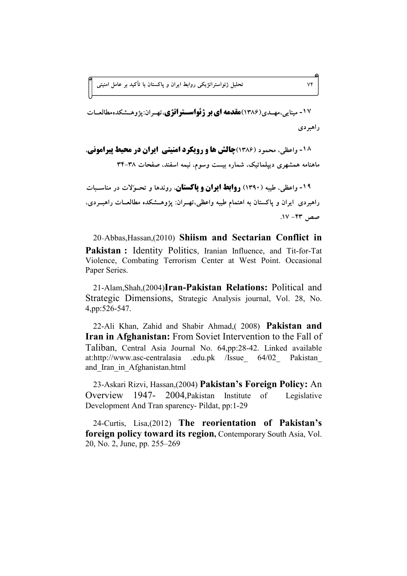۱۷- مینایی،مهــدی(۱۳۸۶)**مقدمه ای بر ژئواســتراتژی**،تهــران:پژوهــشکدهمطالعــات ر اهبر دی

**18 - واعظی، محمود (۱۳۸۶)چالش ها و رویکرد امنیتی ایران در محیط پیرامونی،** ماهنامه همشهری دیپلماتیک، شماره بیست وسوم، نیمه اسفند، صفحات ۳۸–۳۴ ۱۹- واعظی، طیبه (۱۳۹۰) **روابط ایران و پاکستان**، روندها و تحـوُلات در مناسـبات راهبردی ایران و پاکستان به اهتمام طیبه واعظی،تهــران: پژوهــشکده مطالعــات راهبــردی.

20-Abbas,Hassan,(2010) **Shiism and Sectarian Conflict in Pakistan :** Identity Politics, Iranian Influence, and Tit-for-Tat Violence, Combating Terrorism Center at West Point. Occasional Paper Series.

21-Alam,Shah,(2004)**Iran-Pakistan Relations:** Political and Strategic Dimensions, Strategic Analysis journal, Vol. 28, No. 4,pp:526-547.

22-Ali Khan, Zahid and Shabir Ahmad,( 2008) **Pakistan and Iran in Afghanistan:** From Soviet Intervention to the Fall of Taliban, Central Asia Journal No. 64,pp:28-42. Linked available at:http://www.asc-centralasia .edu.pk /Issue 64/02 Pakistan and\_Iran\_in\_Afghanistan.html

23-Askari Rizvi, Hassan,(2004) **Pakistan's Foreign Policy:** An Overview 1947- 2004,Pakistan Institute of Legislative Development And Tran sparency- Pildat, pp:1-29

24-Curtis, Lisa,(2012) **The reorientation of Pakistan's foreign policy toward its region,** Contemporary South Asia, Vol. 20, No. 2, June, pp. 255–269

**.17 -43 â^**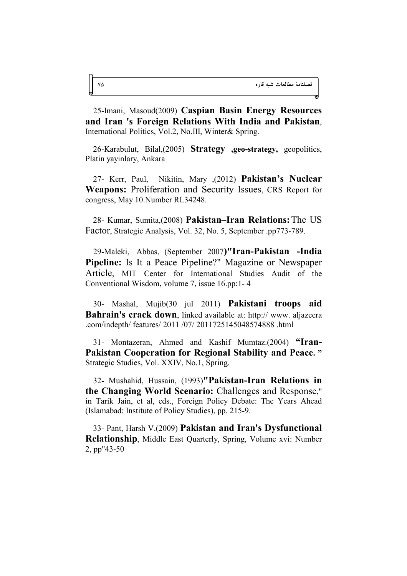25-Imani, Masoud(2009) **Caspian Basin Energy Resources and Iran 's Foreign Relations With India and Pakistan**, International Politics, Vol.2, No.III, Winter& Spring.

26-Karabulut, Bilal,(2005) **Strategy ,geo-strategy,** geopolitics, Platin yayinlary, Ankara

27- Kerr, Paul, Nikitin, Mary ,(2012) **Pakistan's Nuclear Weapons:** Proliferation and Security Issues, CRS Report for congress, May 10.Number RL34248.

28- Kumar, Sumita,(2008) **Pakistan–Iran Relations:**The US Factor, Strategic Analysis, Vol. 32, No. 5, September .pp773-789.

29-Maleki, Abbas, (September 2007**)"Iran-Pakistan -India Pipeline:** Is It a Peace Pipeline?" Magazine or Newspaper Article, MIT Center for International Studies Audit of the Conventional Wisdom, volume 7, issue 16.pp:1- 4

30- Mashal, Mujib(30 jul 2011) **Pakistani troops aid Bahrain's crack down**, linked available at: http:// www. aljazeera .com/indepth/ features/ 2011 /07/ 2011725145048574888 .html

31- Montazeran, Ahmed and Kashif Mumtaz.(2004) **"Iran-Pakistan Cooperation for Regional Stability and Peace. "** Strategic Studies, Vol. XXIV, No.1, Spring.

32- Mushahid, Hussain, (1993)**"Pakistan-Iran Relations in the Changing World Scenario:** Challenges and Response," in Tarik Jain, et al, eds., Foreign Policy Debate: The Years Ahead (Islamabad: Institute of Policy Studies), pp. 215-9.

33- Pant, Harsh V.(2009) **Pakistan and Iran's Dysfunctional Relationship**, Middle East Quarterly, Spring, Volume xvi: Number 2, pp"43-50